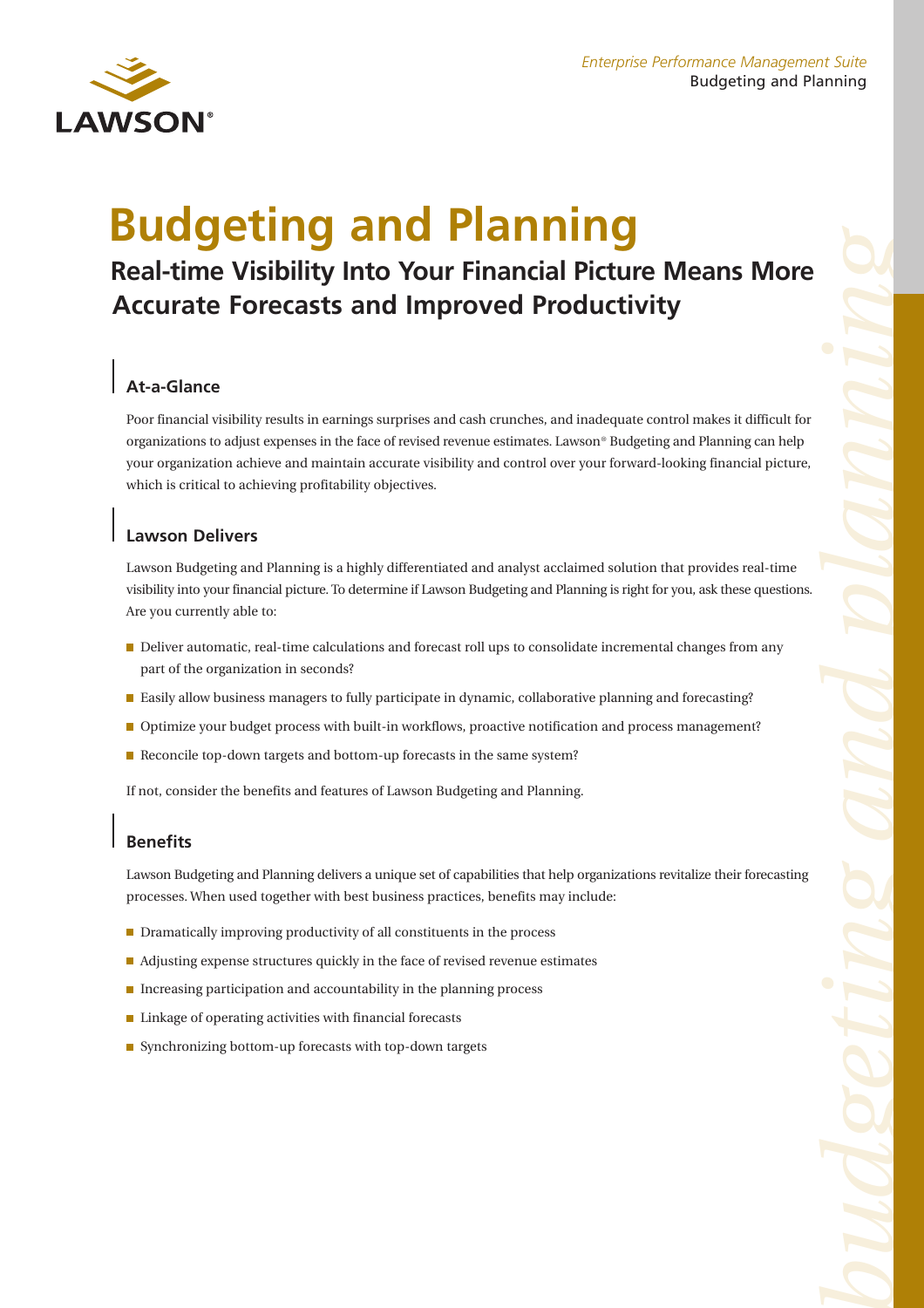

# **Budgeting and Planning**

## **Real-time Visibility Into Your Financial Picture Means More Accurate Forecasts and Improved Productivity**

### **At-a-Glance**

Poor financial visibility results in earnings surprises and cash crunches, and inadequate control makes it difficult for organizations to adjust expenses in the face of revised revenue estimates. Lawson® Budgeting and Planning can help your organization achieve and maintain accurate visibility and control over your forward-looking financial picture, which is critical to achieving profitability objectives.

#### **Lawson Delivers**

Lawson Budgeting and Planning is a highly differentiated and analyst acclaimed solution that provides real-time visibility into your financial picture. To determine if Lawson Budgeting and Planning is right for you, ask these questions. Are you currently able to:

- Deliver automatic, real-time calculations and forecast roll ups to consolidate incremental changes from any part of the organization in seconds?
- **Easily allow business managers to fully participate in dynamic, collaborative planning and forecasting?**
- Optimize your budget process with built-in workflows, proactive notification and process management?
- Reconcile top-down targets and bottom-up forecasts in the same system?

If not, consider the benefits and features of Lawson Budgeting and Planning.

#### **Benefits**

Lawson Budgeting and Planning delivers a unique set of capabilities that help organizations revitalize their forecasting processes. When used together with best business practices, benefits may include:

- Dramatically improving productivity of all constituents in the process
- Adjusting expense structures quickly in the face of revised revenue estimates
- $\blacksquare$  Increasing participation and accountability in the planning process
- Linkage of operating activities with financial forecasts
- $\blacksquare$  Synchronizing bottom-up forecasts with top-down targets